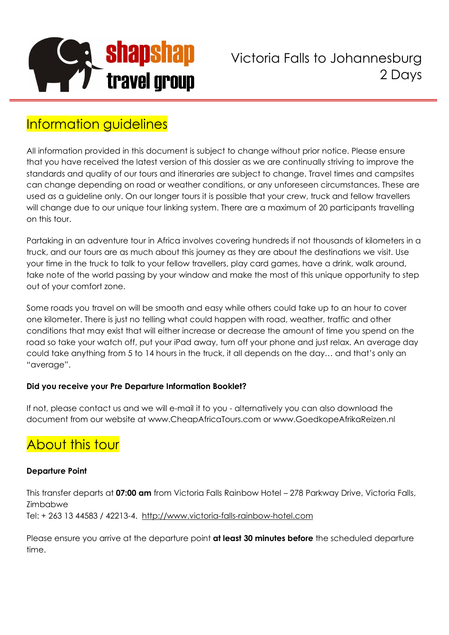

Victoria Falls to Johannesburg 2 Days

## Information guidelines

All information provided in this document is subject to change without prior notice. Please ensure that you have received the latest version of this dossier as we are continually striving to improve the standards and quality of our tours and itineraries are subject to change. Travel times and campsites can change depending on road or weather conditions, or any unforeseen circumstances. These are used as a guideline only. On our longer tours it is possible that your crew, truck and fellow travellers will change due to our unique tour linking system. There are a maximum of 20 participants travelling on this tour.

Partaking in an adventure tour in Africa involves covering hundreds if not thousands of kilometers in a truck, and our tours are as much about this journey as they are about the destinations we visit. Use your time in the truck to talk to your fellow travellers, play card games, have a drink, walk around, take note of the world passing by your window and make the most of this unique opportunity to step out of your comfort zone.

Some roads you travel on will be smooth and easy while others could take up to an hour to cover one kilometer. There is just no telling what could happen with road, weather, traffic and other conditions that may exist that will either increase or decrease the amount of time you spend on the road so take your watch off, put your iPad away, turn off your phone and just relax. An average day could take anything from 5 to 14 hours in the truck, it all depends on the day… and that's only an "average".

## **Did you receive your Pre Departure Information Booklet?**

If not, please contact us and we will e-mail it to you - alternatively you can also download the document from our website at www.CheapAfricaTours.com or www.GoedkopeAfrikaReizen.nl

# About this tour

## **Departure Point**

This transfer departs at **07:00 am** from Victoria Falls Rainbow Hotel – 278 Parkway Drive, Victoria Falls, Zimbabwe Tel: + 263 13 44583 / 42213-4. http://www.victoria-falls-rainbow-hotel.com

Please ensure you arrive at the departure point **at least 30 minutes before** the scheduled departure time.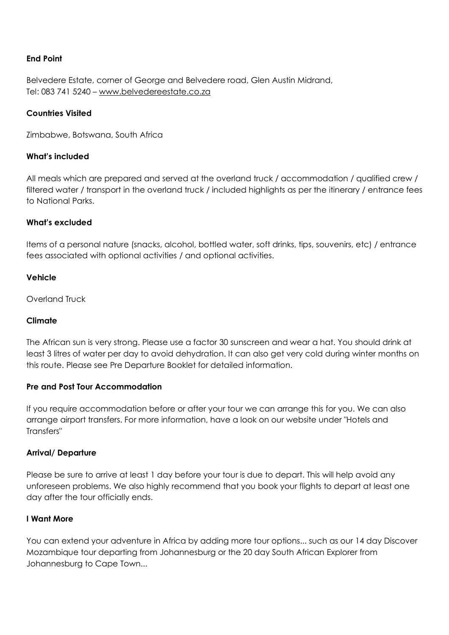### **End Point**

Belvedere Estate, corner of George and Belvedere road, Glen Austin Midrand, Tel: 083 741 5240 – www.belvedereestate.co.za

### **Countries Visited**

Zimbabwe, Botswana, South Africa

#### **What's included**

All meals which are prepared and served at the overland truck / accommodation / qualified crew / filtered water / transport in the overland truck / included highlights as per the itinerary / entrance fees to National Parks.

#### **What's excluded**

Items of a personal nature (snacks, alcohol, bottled water, soft drinks, tips, souvenirs, etc) / entrance fees associated with optional activities / and optional activities.

#### **Vehicle**

Overland Truck

#### **Climate**

The African sun is very strong. Please use a factor 30 sunscreen and wear a hat. You should drink at least 3 litres of water per day to avoid dehydration. It can also get very cold during winter months on this route. Please see Pre Departure Booklet for detailed information.

#### **Pre and Post Tour Accommodation**

If you require accommodation before or after your tour we can arrange this for you. We can also arrange airport transfers. For more information, have a look on our website under "Hotels and Transfers"

#### **Arrival/ Departure**

Please be sure to arrive at least 1 day before your tour is due to depart. This will help avoid any unforeseen problems. We also highly recommend that you book your flights to depart at least one day after the tour officially ends.

#### **I Want More**

You can extend your adventure in Africa by adding more tour options... such as our 14 day Discover Mozambique tour departing from Johannesburg or the 20 day South African Explorer from Johannesburg to Cape Town...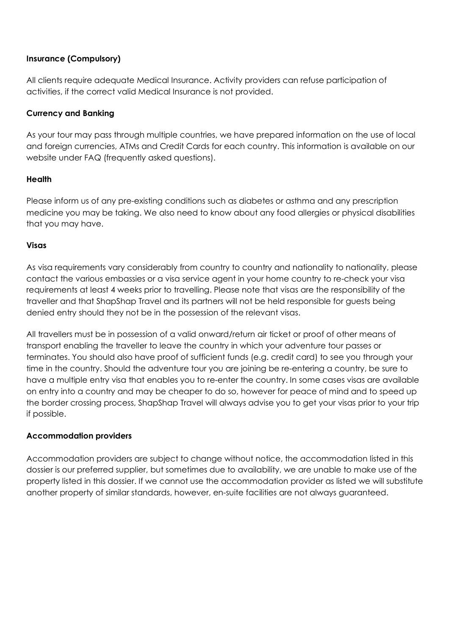## **Insurance (Compulsory)**

All clients require adequate Medical Insurance. Activity providers can refuse participation of activities, if the correct valid Medical Insurance is not provided.

## **Currency and Banking**

As your tour may pass through multiple countries, we have prepared information on the use of local and foreign currencies, ATMs and Credit Cards for each country. This information is available on our website under FAQ (frequently asked questions).

## **Health**

Please inform us of any pre-existing conditions such as diabetes or asthma and any prescription medicine you may be taking. We also need to know about any food allergies or physical disabilities that you may have.

## **Visas**

As visa requirements vary considerably from country to country and nationality to nationality, please contact the various embassies or a visa service agent in your home country to re-check your visa requirements at least 4 weeks prior to travelling. Please note that visas are the responsibility of the traveller and that ShapShap Travel and its partners will not be held responsible for guests being denied entry should they not be in the possession of the relevant visas.

All travellers must be in possession of a valid onward/return air ticket or proof of other means of transport enabling the traveller to leave the country in which your adventure tour passes or terminates. You should also have proof of sufficient funds (e.g. credit card) to see you through your time in the country. Should the adventure tour you are joining be re-entering a country, be sure to have a multiple entry visa that enables you to re-enter the country. In some cases visas are available on entry into a country and may be cheaper to do so, however for peace of mind and to speed up the border crossing process, ShapShap Travel will always advise you to get your visas prior to your trip if possible.

## **Accommodation providers**

Accommodation providers are subject to change without notice, the accommodation listed in this dossier is our preferred supplier, but sometimes due to availability, we are unable to make use of the property listed in this dossier. If we cannot use the accommodation provider as listed we will substitute another property of similar standards, however, en-suite facilities are not always guaranteed.